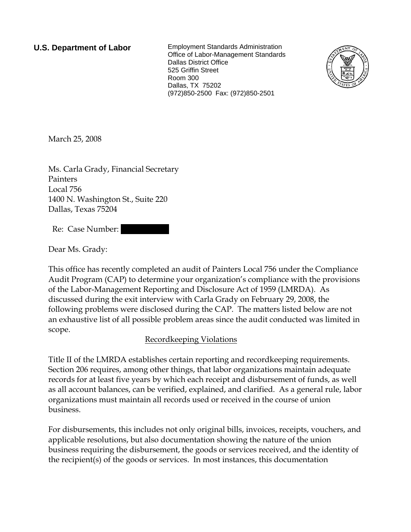**U.S. Department of Labor** Employment Standards Administration Office of Labor-Management Standards Dallas District Office 525 Griffin Street Room 300 Dallas, TX 75202 (972)850-2500 Fax: (972)850-2501



March 25, 2008

Ms. Carla Grady, Financial Secretary Painters Local 756 1400 N. Washington St., Suite 220 Dallas, Texas 75204

Re: Case Number:

Dear Ms. Grady:

This office has recently completed an audit of Painters Local 756 under the Compliance Audit Program (CAP) to determine your organization's compliance with the provisions of the Labor-Management Reporting and Disclosure Act of 1959 (LMRDA). As discussed during the exit interview with Carla Grady on February 29, 2008, the following problems were disclosed during the CAP. The matters listed below are not an exhaustive list of all possible problem areas since the audit conducted was limited in scope.

## Recordkeeping Violations

Title II of the LMRDA establishes certain reporting and recordkeeping requirements. Section 206 requires, among other things, that labor organizations maintain adequate records for at least five years by which each receipt and disbursement of funds, as well as all account balances, can be verified, explained, and clarified. As a general rule, labor organizations must maintain all records used or received in the course of union business.

For disbursements, this includes not only original bills, invoices, receipts, vouchers, and applicable resolutions, but also documentation showing the nature of the union business requiring the disbursement, the goods or services received, and the identity of the recipient(s) of the goods or services. In most instances, this documentation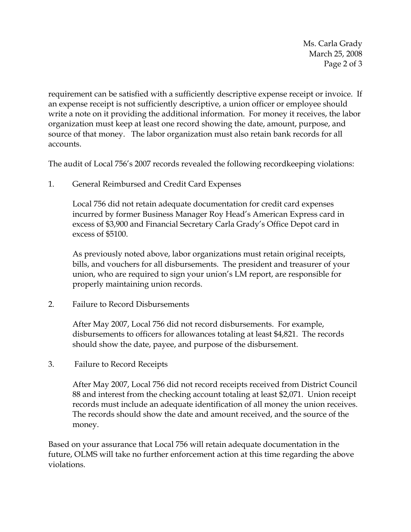Ms. Carla Grady March 25, 2008 Page 2 of 3

requirement can be satisfied with a sufficiently descriptive expense receipt or invoice. If an expense receipt is not sufficiently descriptive, a union officer or employee should write a note on it providing the additional information. For money it receives, the labor organization must keep at least one record showing the date, amount, purpose, and source of that money. The labor organization must also retain bank records for all accounts.

The audit of Local 756's 2007 records revealed the following recordkeeping violations:

1. General Reimbursed and Credit Card Expenses

Local 756 did not retain adequate documentation for credit card expenses incurred by former Business Manager Roy Head's American Express card in excess of \$3,900 and Financial Secretary Carla Grady's Office Depot card in excess of \$5100.

As previously noted above, labor organizations must retain original receipts, bills, and vouchers for all disbursements. The president and treasurer of your union, who are required to sign your union's LM report, are responsible for properly maintaining union records.

2. Failure to Record Disbursements

After May 2007, Local 756 did not record disbursements. For example, disbursements to officers for allowances totaling at least \$4,821. The records should show the date, payee, and purpose of the disbursement.

3. Failure to Record Receipts

After May 2007, Local 756 did not record receipts received from District Council 88 and interest from the checking account totaling at least \$2,071. Union receipt records must include an adequate identification of all money the union receives. The records should show the date and amount received, and the source of the money.

Based on your assurance that Local 756 will retain adequate documentation in the future, OLMS will take no further enforcement action at this time regarding the above violations.